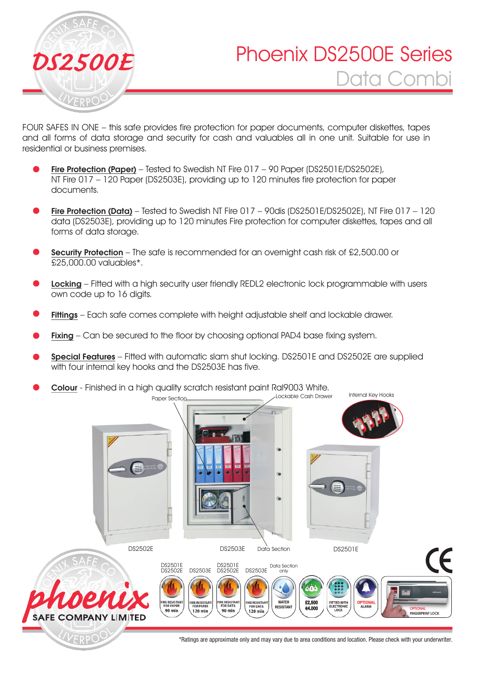

VERPC

# Phoenix DS2500E Series Data Combi *DS2500E*

FOUR SAFES IN ONE – this safe provides fire protection for paper documents, computer diskettes, tapes and all forms of data storage and security for cash and valuables all in one unit. Suitable for use in residential or business premises.

- Fire Protection (Paper) Tested to Swedish NT Fire 017 90 Paper (DS2501E/DS2502E), NT Fire 017 – 120 Paper (DS2503E), providing up to 120 minutes fire protection for paper documents.
- Fire Protection (Data) Tested to Swedish NT Fire 017 90dis (DS2501E/DS2502E), NT Fire 017 120 data (DS2503E), providing up to 120 minutes Fire protection for computer diskettes, tapes and all forms of data storage.
- Security Protection The safe is recommended for an overnight cash risk of £2,500.00 or £25,000.00 valuables\*.
- Locking Fitted with a high security user friendly REDL2 electronic lock programmable with users own code up to 16 digits.
- Fittings Each safe comes complete with height adjustable shelf and lockable drawer.
- Fixing Can be secured to the floor by choosing optional PAD4 base fixing system.
- Special Features Fitted with automatic slam shut locking. DS2501E and DS2502E are supplied with four internal key hooks and the DS2503E has five.
- Colour Finished in a high quality scratch resistant paint Ral9003 White. Paper Section Lockable Cash Drawer Internal Key Hooks



Data Section DS2502E DS2503E DS2501E **CE** DS2503E DS2502E DS2503E Data Section only DS2501E<br>DS2502E DS2501E DS2502E **RE RESISTAL** RE RESISTAN<br>FOR PAPER<br>**120 min RE RESIST**<br>FOR DAT. **FITTED V**<br>ELECTRO **WATER RESISTANT**£2.5 FOR DATA 90 min  $120 \text{ mi}$ €4.000 OPTIONAL FINGERPRINT LOCK **SAFE COMPANY LIMITED** 

\*Ratings are approximate only and may vary due to area conditions and location. Please check with your underwriter.